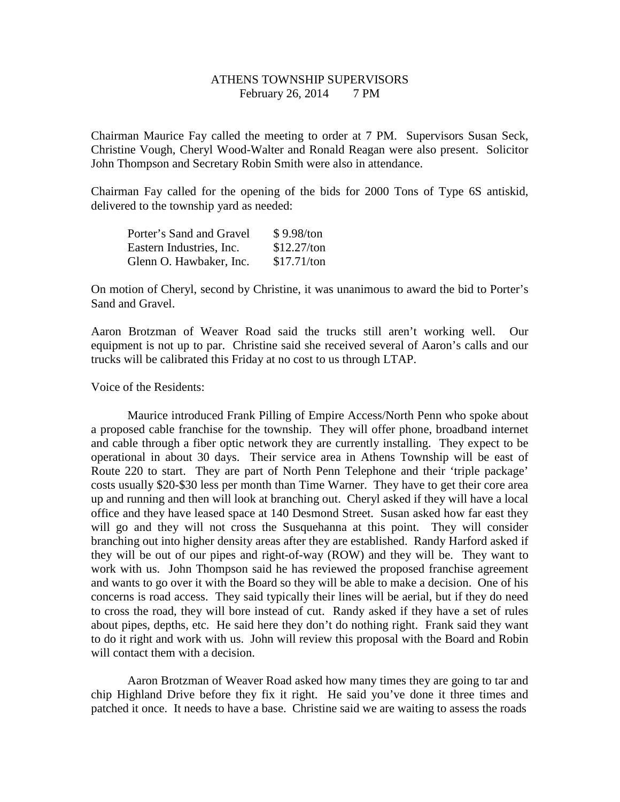## ATHENS TOWNSHIP SUPERVISORS February 26, 2014 7 PM

Chairman Maurice Fay called the meeting to order at 7 PM. Supervisors Susan Seck, Christine Vough, Cheryl Wood-Walter and Ronald Reagan were also present. Solicitor John Thompson and Secretary Robin Smith were also in attendance.

Chairman Fay called for the opening of the bids for 2000 Tons of Type 6S antiskid, delivered to the township yard as needed:

| Porter's Sand and Gravel | \$9.98/ton  |
|--------------------------|-------------|
| Eastern Industries, Inc. | \$12.27/ton |
| Glenn O. Hawbaker, Inc.  | \$17.71/ton |

On motion of Cheryl, second by Christine, it was unanimous to award the bid to Porter's Sand and Gravel.

Aaron Brotzman of Weaver Road said the trucks still aren't working well. Our equipment is not up to par. Christine said she received several of Aaron's calls and our trucks will be calibrated this Friday at no cost to us through LTAP.

## Voice of the Residents:

 Maurice introduced Frank Pilling of Empire Access/North Penn who spoke about a proposed cable franchise for the township. They will offer phone, broadband internet and cable through a fiber optic network they are currently installing. They expect to be operational in about 30 days. Their service area in Athens Township will be east of Route 220 to start. They are part of North Penn Telephone and their 'triple package' costs usually \$20-\$30 less per month than Time Warner. They have to get their core area up and running and then will look at branching out. Cheryl asked if they will have a local office and they have leased space at 140 Desmond Street. Susan asked how far east they will go and they will not cross the Susquehanna at this point. They will consider branching out into higher density areas after they are established. Randy Harford asked if they will be out of our pipes and right-of-way (ROW) and they will be. They want to work with us. John Thompson said he has reviewed the proposed franchise agreement and wants to go over it with the Board so they will be able to make a decision. One of his concerns is road access. They said typically their lines will be aerial, but if they do need to cross the road, they will bore instead of cut. Randy asked if they have a set of rules about pipes, depths, etc. He said here they don't do nothing right. Frank said they want to do it right and work with us. John will review this proposal with the Board and Robin will contact them with a decision.

 Aaron Brotzman of Weaver Road asked how many times they are going to tar and chip Highland Drive before they fix it right. He said you've done it three times and patched it once. It needs to have a base. Christine said we are waiting to assess the roads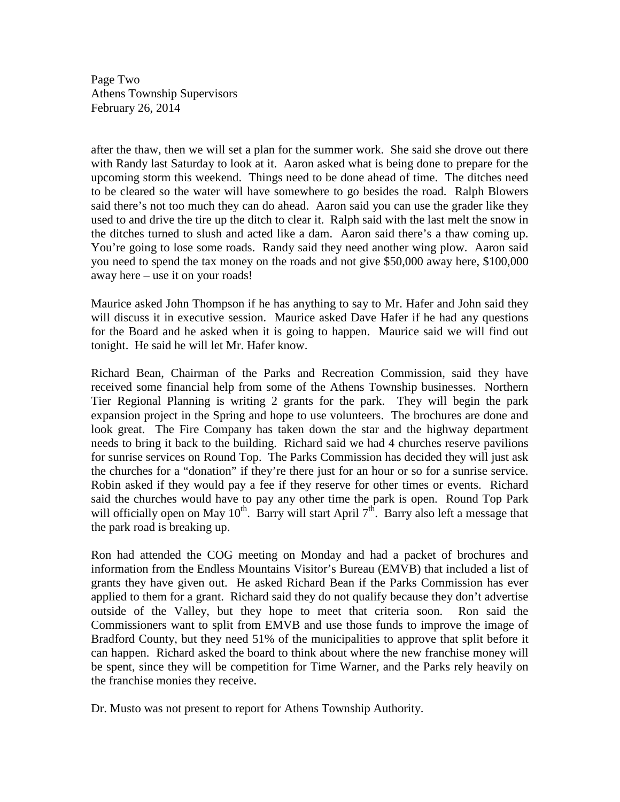Page Two Athens Township Supervisors February 26, 2014

after the thaw, then we will set a plan for the summer work. She said she drove out there with Randy last Saturday to look at it. Aaron asked what is being done to prepare for the upcoming storm this weekend. Things need to be done ahead of time. The ditches need to be cleared so the water will have somewhere to go besides the road. Ralph Blowers said there's not too much they can do ahead. Aaron said you can use the grader like they used to and drive the tire up the ditch to clear it. Ralph said with the last melt the snow in the ditches turned to slush and acted like a dam. Aaron said there's a thaw coming up. You're going to lose some roads. Randy said they need another wing plow. Aaron said you need to spend the tax money on the roads and not give \$50,000 away here, \$100,000 away here – use it on your roads!

Maurice asked John Thompson if he has anything to say to Mr. Hafer and John said they will discuss it in executive session. Maurice asked Dave Hafer if he had any questions for the Board and he asked when it is going to happen. Maurice said we will find out tonight. He said he will let Mr. Hafer know.

Richard Bean, Chairman of the Parks and Recreation Commission, said they have received some financial help from some of the Athens Township businesses. Northern Tier Regional Planning is writing 2 grants for the park. They will begin the park expansion project in the Spring and hope to use volunteers. The brochures are done and look great. The Fire Company has taken down the star and the highway department needs to bring it back to the building. Richard said we had 4 churches reserve pavilions for sunrise services on Round Top. The Parks Commission has decided they will just ask the churches for a "donation" if they're there just for an hour or so for a sunrise service. Robin asked if they would pay a fee if they reserve for other times or events. Richard said the churches would have to pay any other time the park is open. Round Top Park will officially open on May  $10^{th}$ . Barry will start April  $7^{th}$ . Barry also left a message that the park road is breaking up.

Ron had attended the COG meeting on Monday and had a packet of brochures and information from the Endless Mountains Visitor's Bureau (EMVB) that included a list of grants they have given out. He asked Richard Bean if the Parks Commission has ever applied to them for a grant. Richard said they do not qualify because they don't advertise outside of the Valley, but they hope to meet that criteria soon. Ron said the Commissioners want to split from EMVB and use those funds to improve the image of Bradford County, but they need 51% of the municipalities to approve that split before it can happen. Richard asked the board to think about where the new franchise money will be spent, since they will be competition for Time Warner, and the Parks rely heavily on the franchise monies they receive.

Dr. Musto was not present to report for Athens Township Authority.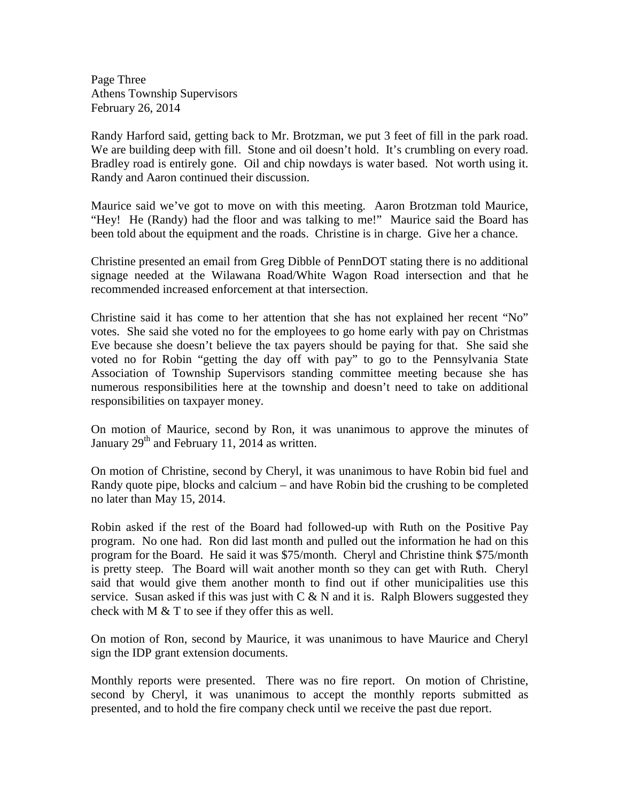Page Three Athens Township Supervisors February 26, 2014

Randy Harford said, getting back to Mr. Brotzman, we put 3 feet of fill in the park road. We are building deep with fill. Stone and oil doesn't hold. It's crumbling on every road. Bradley road is entirely gone. Oil and chip nowdays is water based. Not worth using it. Randy and Aaron continued their discussion.

Maurice said we've got to move on with this meeting. Aaron Brotzman told Maurice, "Hey! He (Randy) had the floor and was talking to me!" Maurice said the Board has been told about the equipment and the roads. Christine is in charge. Give her a chance.

Christine presented an email from Greg Dibble of PennDOT stating there is no additional signage needed at the Wilawana Road/White Wagon Road intersection and that he recommended increased enforcement at that intersection.

Christine said it has come to her attention that she has not explained her recent "No" votes. She said she voted no for the employees to go home early with pay on Christmas Eve because she doesn't believe the tax payers should be paying for that. She said she voted no for Robin "getting the day off with pay" to go to the Pennsylvania State Association of Township Supervisors standing committee meeting because she has numerous responsibilities here at the township and doesn't need to take on additional responsibilities on taxpayer money.

On motion of Maurice, second by Ron, it was unanimous to approve the minutes of January  $29<sup>th</sup>$  and February 11, 2014 as written.

On motion of Christine, second by Cheryl, it was unanimous to have Robin bid fuel and Randy quote pipe, blocks and calcium – and have Robin bid the crushing to be completed no later than May 15, 2014.

Robin asked if the rest of the Board had followed-up with Ruth on the Positive Pay program. No one had. Ron did last month and pulled out the information he had on this program for the Board. He said it was \$75/month. Cheryl and Christine think \$75/month is pretty steep. The Board will wait another month so they can get with Ruth. Cheryl said that would give them another month to find out if other municipalities use this service. Susan asked if this was just with  $C \& N$  and it is. Ralph Blowers suggested they check with  $M \& T$  to see if they offer this as well.

On motion of Ron, second by Maurice, it was unanimous to have Maurice and Cheryl sign the IDP grant extension documents.

Monthly reports were presented. There was no fire report. On motion of Christine, second by Cheryl, it was unanimous to accept the monthly reports submitted as presented, and to hold the fire company check until we receive the past due report.